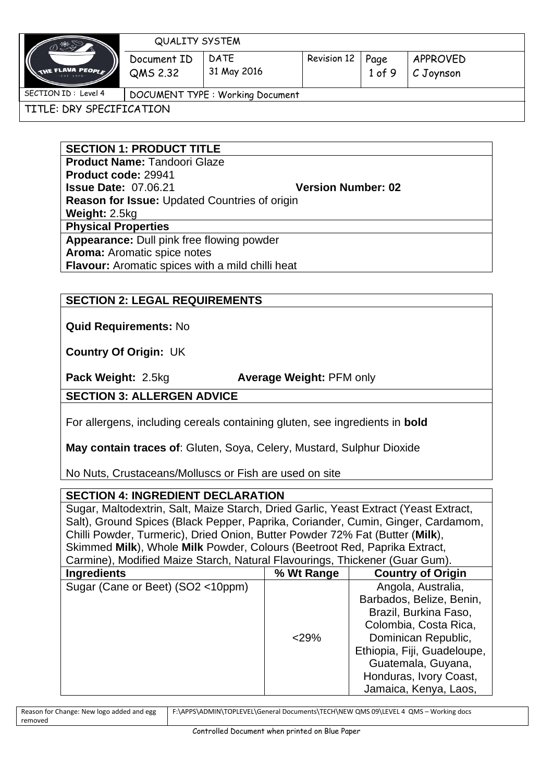

#### QUALITY SYSTEM

Document ID DATE 31 May 2016 Revision 12 Page 1 of 9

TITLE: DRY SPECIFICATION

**SECTION 1: PRODUCT TITLE**

QMS 2.32

**Product Name:** Tandoori Glaze **Product code:** 29941 **Issue Date:** 07.06.21 **Version Number: 02 Reason for Issue:** Updated Countries of origin **Weight:** 2.5kg **Physical Properties Appearance:** Dull pink free flowing powder **Aroma:** Aromatic spice notes **Flavour:** Aromatic spices with a mild chilli heat

## **SECTION 2: LEGAL REQUIREMENTS**

**Quid Requirements:** No

**Country Of Origin:** UK

**Pack Weight:** 2.5kg **Average Weight:** PFM only

## **SECTION 3: ALLERGEN ADVICE**

For allergens, including cereals containing gluten, see ingredients in **bold**

**May contain traces of**: Gluten, Soya, Celery, Mustard, Sulphur Dioxide

No Nuts, Crustaceans/Molluscs or Fish are used on site

## **SECTION 4: INGREDIENT DECLARATION**

Sugar, Maltodextrin, Salt, Maize Starch, Dried Garlic, Yeast Extract (Yeast Extract, Salt), Ground Spices (Black Pepper, Paprika, Coriander, Cumin, Ginger, Cardamom, Chilli Powder, Turmeric), Dried Onion, Butter Powder 72% Fat (Butter (**Milk**), Skimmed **Milk**), Whole **Milk** Powder, Colours (Beetroot Red, Paprika Extract, Carmine), Modified Maize Starch, Natural Flavourings, Thickener (Guar Gum).

| <b>Ingredients</b>                | % Wt Range | <b>Country of Origin</b>    |
|-----------------------------------|------------|-----------------------------|
| Sugar (Cane or Beet) (SO2 <10ppm) |            | Angola, Australia,          |
|                                   |            | Barbados, Belize, Benin,    |
|                                   |            | Brazil, Burkina Faso,       |
|                                   |            | Colombia, Costa Rica,       |
|                                   | $<$ 29%    | Dominican Republic,         |
|                                   |            | Ethiopia, Fiji, Guadeloupe, |
|                                   |            | Guatemala, Guyana,          |
|                                   |            | Honduras, Ivory Coast,      |
|                                   |            | Jamaica, Kenya, Laos,       |

| Reason for Change: New logo added and egg | F:\APPS\ADMIN\TOPLEVEL\General Documents\TECH\NEW QMS 09\LEVEL 4 QMS - Working docs |
|-------------------------------------------|-------------------------------------------------------------------------------------|
| removed                                   |                                                                                     |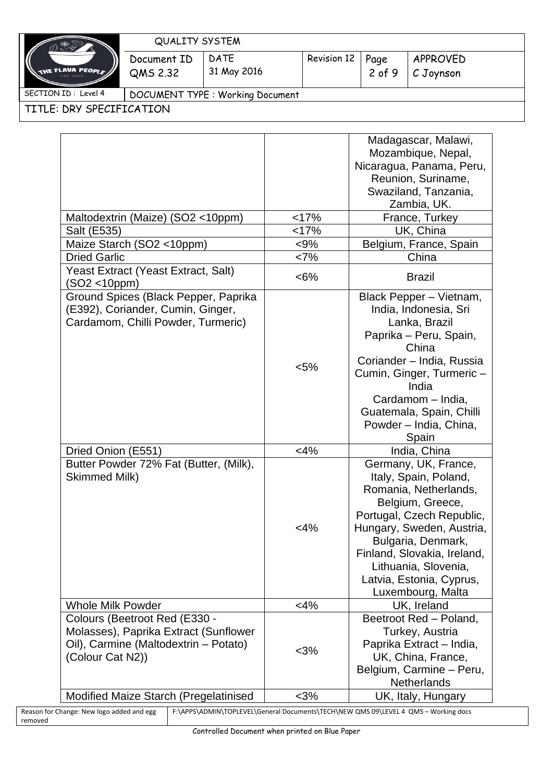| ≫ ※                       | <b>QUALITY SYSTEM</b>            |                     |             |                  |                       |
|---------------------------|----------------------------------|---------------------|-------------|------------------|-----------------------|
| $\big($<br>E FLAVA PEOPLE | Document ID<br>QMS 2.32          | DATE<br>31 May 2016 | Revision 12 | Page<br>$2$ of 9 | APPROVED<br>C Joynson |
| SECTION ID: Level 4       | DOCUMENT TYPE : Working Document |                     |             |                  |                       |

TITLE: DRY SPECIFICATION

removed

|                                                            |         | Madagascar, Malawi,                                                                 |
|------------------------------------------------------------|---------|-------------------------------------------------------------------------------------|
|                                                            |         | Mozambique, Nepal,                                                                  |
|                                                            |         | Nicaragua, Panama, Peru,                                                            |
|                                                            |         | Reunion, Suriname,                                                                  |
|                                                            |         |                                                                                     |
|                                                            |         | Swaziland, Tanzania,                                                                |
|                                                            |         | Zambia, UK.                                                                         |
| Maltodextrin (Maize) (SO2 <10ppm)                          | <17%    | France, Turkey                                                                      |
| Salt (E535)                                                | <17%    | UK, China                                                                           |
| Maize Starch (SO2 <10ppm)                                  | $< 9\%$ | Belgium, France, Spain                                                              |
| <b>Dried Garlic</b>                                        | <7%     | China                                                                               |
| Yeast Extract (Yeast Extract, Salt)<br>$(SO2 < 10$ ppm $)$ | $<6\%$  | <b>Brazil</b>                                                                       |
| Ground Spices (Black Pepper, Paprika                       |         | Black Pepper - Vietnam,                                                             |
| (E392), Coriander, Cumin, Ginger,                          |         | India, Indonesia, Sri                                                               |
| Cardamom, Chilli Powder, Turmeric)                         |         | Lanka, Brazil                                                                       |
|                                                            |         | Paprika - Peru, Spain,                                                              |
|                                                            |         | China                                                                               |
|                                                            |         | Coriander - India, Russia                                                           |
|                                                            | $< 5\%$ | Cumin, Ginger, Turmeric-                                                            |
|                                                            |         | India                                                                               |
|                                                            |         | Cardamom - India,                                                                   |
|                                                            |         |                                                                                     |
|                                                            |         | Guatemala, Spain, Chilli                                                            |
|                                                            |         | Powder - India, China,                                                              |
|                                                            |         | Spain                                                                               |
| Dried Onion (E551)                                         | $<4\%$  | India, China                                                                        |
| Butter Powder 72% Fat (Butter, (Milk),                     |         | Germany, UK, France,                                                                |
| Skimmed Milk)                                              |         | Italy, Spain, Poland,                                                               |
|                                                            |         | Romania, Netherlands,                                                               |
|                                                            |         | Belgium, Greece,                                                                    |
|                                                            |         | Portugal, Czech Republic,                                                           |
|                                                            | $<$ 4%  | Hungary, Sweden, Austria,                                                           |
|                                                            |         | Bulgaria, Denmark,                                                                  |
|                                                            |         | Finland, Slovakia, Ireland,                                                         |
|                                                            |         | Lithuania, Slovenia,                                                                |
|                                                            |         | Latvia, Estonia, Cyprus,                                                            |
|                                                            |         | Luxembourg, Malta                                                                   |
| <b>Whole Milk Powder</b>                                   | $<$ 4%  | UK, Ireland                                                                         |
| Colours (Beetroot Red (E330 -                              |         | Beetroot Red - Poland,                                                              |
| Molasses), Paprika Extract (Sunflower                      |         | Turkey, Austria                                                                     |
| Oil), Carmine (Maltodextrin - Potato)                      |         |                                                                                     |
|                                                            | $3%$    | Paprika Extract - India,                                                            |
| (Colour Cat N2))                                           |         | UK, China, France,                                                                  |
|                                                            |         | Belgium, Carmine - Peru,                                                            |
|                                                            |         | <b>Netherlands</b>                                                                  |
| <b>Modified Maize Starch (Pregelatinised</b>               | $3%$    | UK, Italy, Hungary                                                                  |
| Reason for Change: New logo added and egg                  |         | F:\APPS\ADMIN\TOPLEVEL\General Documents\TECH\NEW QMS 09\LEVEL 4 QMS - Working docs |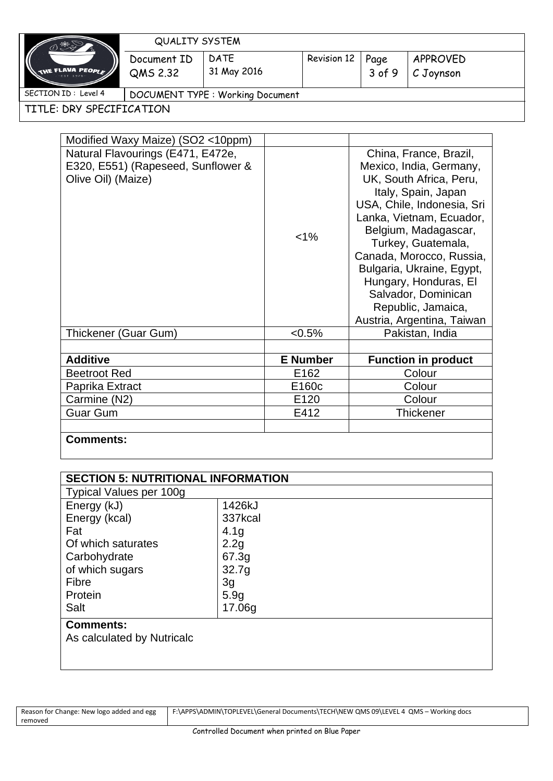| THE FLAVA PEOPLE<br>$-EST$ 1976 - |  |
|-----------------------------------|--|
|                                   |  |

QUALITY SYSTEM

Document ID DATE 31 May 2016 Revision 12 Page 3 of 9 APPROVED

C Joynson

SECTION ID: Level 4 | DOCUMENT TYPE : Working Document

QMS 2.32

TITLE: DRY SPECIFICATION

| Modified Waxy Maize) (SO2 <10ppm)                                                             |                   |                                                                                                                                                                                                                                                                                                                                                                          |
|-----------------------------------------------------------------------------------------------|-------------------|--------------------------------------------------------------------------------------------------------------------------------------------------------------------------------------------------------------------------------------------------------------------------------------------------------------------------------------------------------------------------|
| Natural Flavourings (E471, E472e,<br>E320, E551) (Rapeseed, Sunflower &<br>Olive Oil) (Maize) | $< 1\%$           | China, France, Brazil,<br>Mexico, India, Germany,<br>UK, South Africa, Peru,<br>Italy, Spain, Japan<br>USA, Chile, Indonesia, Sri<br>Lanka, Vietnam, Ecuador,<br>Belgium, Madagascar,<br>Turkey, Guatemala,<br>Canada, Morocco, Russia,<br>Bulgaria, Ukraine, Egypt,<br>Hungary, Honduras, El<br>Salvador, Dominican<br>Republic, Jamaica,<br>Austria, Argentina, Taiwan |
| Thickener (Guar Gum)                                                                          | $< 0.5\%$         | Pakistan, India                                                                                                                                                                                                                                                                                                                                                          |
|                                                                                               |                   |                                                                                                                                                                                                                                                                                                                                                                          |
| <b>Additive</b>                                                                               | <b>E</b> Number   | <b>Function in product</b>                                                                                                                                                                                                                                                                                                                                               |
| <b>Beetroot Red</b>                                                                           | E <sub>162</sub>  | Colour                                                                                                                                                                                                                                                                                                                                                                   |
| Paprika Extract                                                                               | E160 <sub>c</sub> | Colour                                                                                                                                                                                                                                                                                                                                                                   |
| Carmine (N2)                                                                                  | E120              | Colour                                                                                                                                                                                                                                                                                                                                                                   |
| <b>Guar Gum</b>                                                                               | E412              | Thickener                                                                                                                                                                                                                                                                                                                                                                |
|                                                                                               |                   |                                                                                                                                                                                                                                                                                                                                                                          |
| <b>Comments:</b>                                                                              |                   |                                                                                                                                                                                                                                                                                                                                                                          |

| <b>SECTION 5: NUTRITIONAL INFORMATION</b> |                  |  |
|-------------------------------------------|------------------|--|
| <b>Typical Values per 100g</b>            |                  |  |
| Energy (kJ)                               | 1426kJ           |  |
| Energy (kcal)                             | 337kcal          |  |
| Fat                                       | 4.1 <sub>g</sub> |  |
| Of which saturates                        | 2.2g             |  |
| Carbohydrate                              | 67.3g            |  |
| of which sugars                           | 32.7g            |  |
| Fibre                                     | 3g               |  |
| Protein                                   | 5.9 <sub>q</sub> |  |
| Salt                                      | 17.06g           |  |
| <b>Comments:</b>                          |                  |  |
| As calculated by Nutricalc                |                  |  |
|                                           |                  |  |
|                                           |                  |  |

| Reason for Change: New logo added and egg | F:\APPS\ADMIN\TOPLEVEL\General Documents\TECH\NEW QMS 09\LEVEL 4 QMS - Working docs |
|-------------------------------------------|-------------------------------------------------------------------------------------|
| removed                                   |                                                                                     |
|                                           |                                                                                     |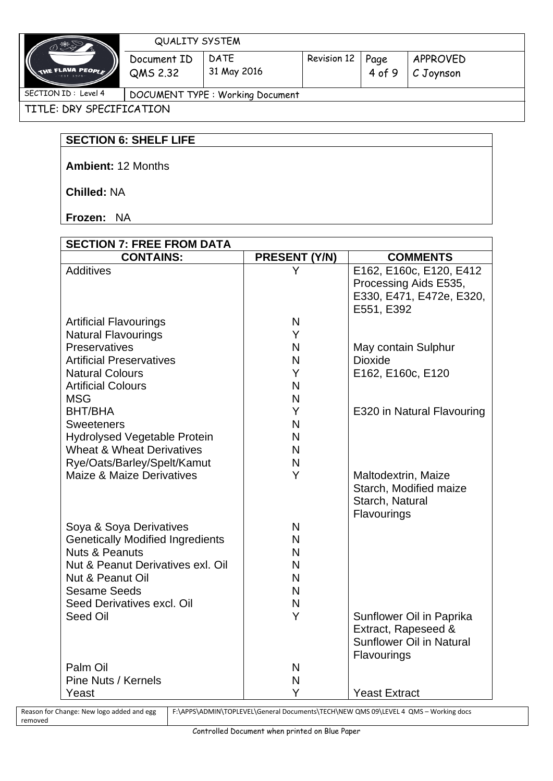| 、 器 2                                                             | <b>QUALITY SYSTEM</b>            |                            |                    |                |                       |
|-------------------------------------------------------------------|----------------------------------|----------------------------|--------------------|----------------|-----------------------|
| $\big($<br>$\epsilon$ flava people $/ \! / \! /$<br>$-$ FST 1976- | Document ID<br>QMS 2.32          | <b>DATE</b><br>31 May 2016 | <b>Revision 12</b> | Page<br>4 of 9 | APPROVED<br>C Joynson |
| SECTION ID: Level 4                                               | DOCUMENT TYPE : Working Document |                            |                    |                |                       |

TITLE: DRY SPECIFICATION

# **SECTION 6: SHELF LIFE**

**Ambient:** 12 Months

**Chilled:** NA

**Frozen:** NA

| <b>SECTION 7: FREE FROM DATA</b>                                     |               |                                 |
|----------------------------------------------------------------------|---------------|---------------------------------|
| <b>CONTAINS:</b>                                                     | PRESENT (Y/N) | <b>COMMENTS</b>                 |
| <b>Additives</b>                                                     | Y             | E162, E160c, E120, E412         |
|                                                                      |               | Processing Aids E535,           |
|                                                                      |               | E330, E471, E472e, E320,        |
|                                                                      |               | E551, E392                      |
| <b>Artificial Flavourings</b>                                        | N             |                                 |
| <b>Natural Flavourings</b>                                           | Y             |                                 |
| <b>Preservatives</b>                                                 | N             | May contain Sulphur             |
| <b>Artificial Preservatives</b>                                      | N             | <b>Dioxide</b>                  |
| <b>Natural Colours</b>                                               | Y             | E162, E160c, E120               |
| <b>Artificial Colours</b>                                            | N             |                                 |
| <b>MSG</b>                                                           | N             |                                 |
| <b>BHT/BHA</b>                                                       | Y             | E320 in Natural Flavouring      |
| <b>Sweeteners</b>                                                    | N             |                                 |
| <b>Hydrolysed Vegetable Protein</b>                                  | N             |                                 |
| <b>Wheat &amp; Wheat Derivatives</b>                                 | N             |                                 |
| Rye/Oats/Barley/Spelt/Kamut                                          | N             |                                 |
| <b>Maize &amp; Maize Derivatives</b>                                 | Y             | Maltodextrin, Maize             |
|                                                                      |               | Starch, Modified maize          |
|                                                                      |               | Starch, Natural                 |
|                                                                      |               | Flavourings                     |
| Soya & Soya Derivatives                                              | N<br>N        |                                 |
| <b>Genetically Modified Ingredients</b><br><b>Nuts &amp; Peanuts</b> | N             |                                 |
| Nut & Peanut Derivatives exl. Oil                                    | N             |                                 |
| Nut & Peanut Oil                                                     | N             |                                 |
| <b>Sesame Seeds</b>                                                  | N             |                                 |
| Seed Derivatives excl. Oil                                           | N             |                                 |
| Seed Oil                                                             | Y             | Sunflower Oil in Paprika        |
|                                                                      |               | Extract, Rapeseed &             |
|                                                                      |               | <b>Sunflower Oil in Natural</b> |
|                                                                      |               | Flavourings                     |
| Palm Oil                                                             | N             |                                 |
| Pine Nuts / Kernels                                                  | N             |                                 |
| Yeast                                                                | Y             | <b>Yeast Extract</b>            |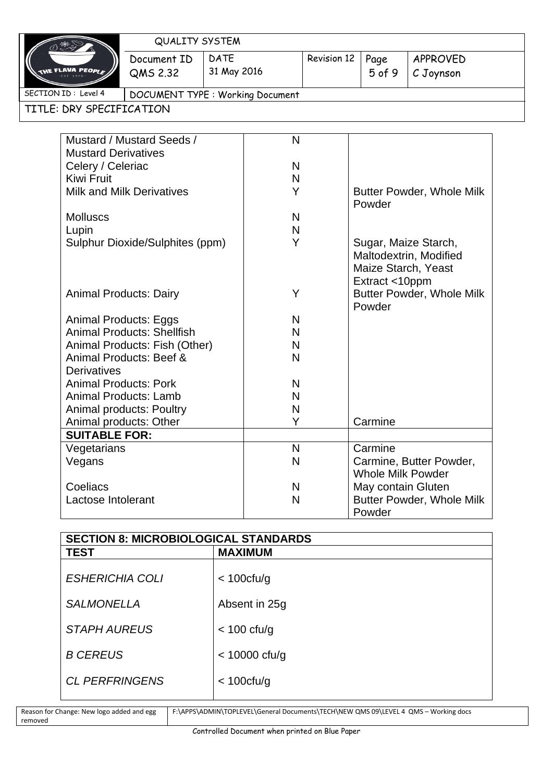|                               |                                                                            | <b>QUALITY SYSTEM</b>                  |             |                          |                                  |                                  |                                                |
|-------------------------------|----------------------------------------------------------------------------|----------------------------------------|-------------|--------------------------|----------------------------------|----------------------------------|------------------------------------------------|
|                               | <b>DATE</b><br>Document ID<br><b>FLAVA PEOP</b><br>31 May 2016<br>QMS 2.32 |                                        | Revision 12 | Page                     | APPROVED                         |                                  |                                                |
|                               |                                                                            |                                        |             | $5$ of $9$               | C Joynson                        |                                  |                                                |
|                               | SECTION ID: Level 4                                                        | <b>DOCUMENT TYPE: Working Document</b> |             |                          |                                  |                                  |                                                |
|                               | TITLE: DRY SPECIFICATION                                                   |                                        |             |                          |                                  |                                  |                                                |
|                               |                                                                            |                                        |             |                          |                                  |                                  |                                                |
|                               |                                                                            | Mustard / Mustard Seeds /              |             | $\mathsf{N}$             |                                  |                                  |                                                |
|                               | <b>Mustard Derivatives</b>                                                 |                                        |             |                          |                                  |                                  |                                                |
|                               | Celery / Celeriac                                                          |                                        |             | N                        |                                  |                                  |                                                |
|                               | Kiwi Fruit                                                                 |                                        |             | N                        |                                  |                                  |                                                |
|                               |                                                                            | <b>Milk and Milk Derivatives</b>       |             | Y                        |                                  | Powder                           | <b>Butter Powder, Whole Milk</b>               |
|                               | <b>Molluscs</b>                                                            |                                        |             | N                        |                                  |                                  |                                                |
|                               | Lupin                                                                      |                                        |             | $\mathsf{N}$             |                                  |                                  |                                                |
|                               |                                                                            | Sulphur Dioxide/Sulphites (ppm)        |             | Y                        |                                  | Maize Starch, Yeast              | Sugar, Maize Starch,<br>Maltodextrin, Modified |
| <b>Animal Products: Dairy</b> |                                                                            | Y                                      |             | Extract <10ppm<br>Powder | <b>Butter Powder, Whole Milk</b> |                                  |                                                |
| <b>Animal Products: Eggs</b>  |                                                                            |                                        | N           |                          |                                  |                                  |                                                |
|                               | <b>Animal Products: Shellfish</b>                                          |                                        |             | N                        |                                  |                                  |                                                |
|                               |                                                                            | Animal Products: Fish (Other)          |             | N                        |                                  |                                  |                                                |
|                               |                                                                            | Animal Products: Beef &                |             | N                        |                                  |                                  |                                                |
|                               | <b>Derivatives</b>                                                         |                                        |             |                          |                                  |                                  |                                                |
|                               | <b>Animal Products: Pork</b>                                               |                                        |             | N                        |                                  |                                  |                                                |
|                               | <b>Animal Products: Lamb</b>                                               |                                        |             | N                        |                                  |                                  |                                                |
|                               | Animal products: Poultry                                                   |                                        |             | N                        |                                  |                                  |                                                |
|                               | Animal products: Other                                                     |                                        |             | Y                        |                                  | Carmine                          |                                                |
|                               | <b>SUITABLE FOR:</b>                                                       |                                        |             |                          |                                  |                                  |                                                |
|                               | Vegetarians                                                                |                                        |             | N                        |                                  | Carmine                          |                                                |
|                               | Vegans                                                                     |                                        |             | N                        |                                  | <b>Whole Milk Powder</b>         | Carmine, Butter Powder,                        |
|                               | Coeliacs                                                                   |                                        |             | N                        |                                  | May contain Gluten               |                                                |
| Lactose Intolerant            |                                                                            |                                        | N           |                          | Powder                           | <b>Butter Powder, Whole Milk</b> |                                                |

| <b>SECTION 8: MICROBIOLOGICAL STANDARDS</b> |                 |  |  |
|---------------------------------------------|-----------------|--|--|
| <b>TEST</b>                                 | <b>MAXIMUM</b>  |  |  |
| <b>ESHERICHIA COLI</b>                      | $<$ 100 $ctu/g$ |  |  |
| <b>SALMONELLA</b>                           | Absent in 25g   |  |  |
| <b>STAPH AUREUS</b>                         | $<$ 100 cfu/g   |  |  |
| <b>B CEREUS</b>                             | $<$ 10000 cfu/g |  |  |
| <b>CL PERFRINGENS</b>                       | $<$ 100 $ctu/g$ |  |  |

| Reason for Change: New logo added and egg | F:\APPS\ADMIN\TOPLEVEL\General Documents\TECH\NEW QMS 09\LEVEL 4 QMS - Working docs |
|-------------------------------------------|-------------------------------------------------------------------------------------|
| removed                                   |                                                                                     |
|                                           |                                                                                     |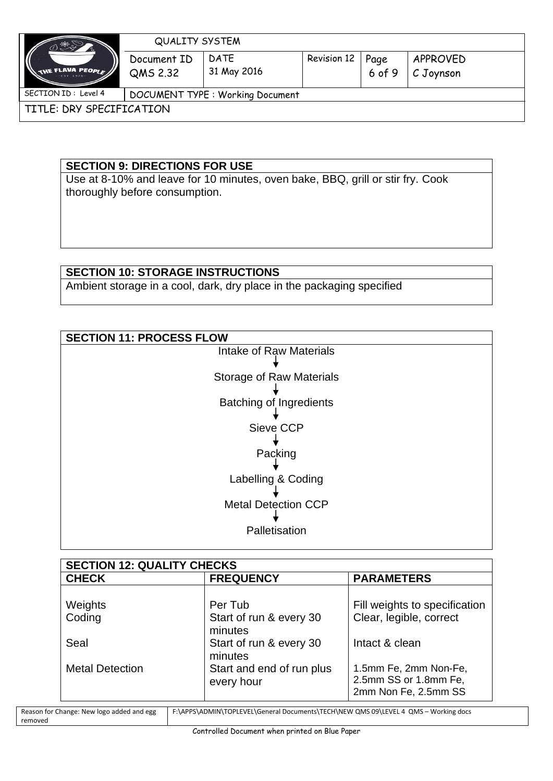| へきご                              | <b>QUALITY SYSTEM</b>            |                            |             |                  |                       |
|----------------------------------|----------------------------------|----------------------------|-------------|------------------|-----------------------|
| THE FLAVA PEOPLE<br>$-EST$ 1976- | Document ID<br>QMS 2.32          | <b>DATE</b><br>31 May 2016 | Revision 12 | Page<br>$6$ of 9 | APPROVED<br>C Joynson |
| SECTION ID : Level 4             | DOCUMENT TYPE : Working Document |                            |             |                  |                       |
| TITLE: DRY SPECIFICATION         |                                  |                            |             |                  |                       |

## **SECTION 9: DIRECTIONS FOR USE**

Use at 8-10% and leave for 10 minutes, oven bake, BBQ, grill or stir fry. Cook thoroughly before consumption.

## **SECTION 10: STORAGE INSTRUCTIONS**

Ambient storage in a cool, dark, dry place in the packaging specified

| <b>SECTION 11: PROCESS FLOW</b> |  |  |  |  |
|---------------------------------|--|--|--|--|
| Intake of Raw Materials         |  |  |  |  |
|                                 |  |  |  |  |
| <b>Storage of Raw Materials</b> |  |  |  |  |
|                                 |  |  |  |  |
| <b>Batching of Ingredients</b>  |  |  |  |  |
|                                 |  |  |  |  |
| Sieve CCP                       |  |  |  |  |
|                                 |  |  |  |  |
| Packing                         |  |  |  |  |
|                                 |  |  |  |  |
| Labelling & Coding              |  |  |  |  |
|                                 |  |  |  |  |
| <b>Metal Detection CCP</b>      |  |  |  |  |
|                                 |  |  |  |  |
| Palletisation                   |  |  |  |  |
|                                 |  |  |  |  |

| <b>SECTION 12: QUALITY CHECKS</b> |                                               |                                                                        |  |  |  |
|-----------------------------------|-----------------------------------------------|------------------------------------------------------------------------|--|--|--|
| <b>CHECK</b>                      | <b>FREQUENCY</b>                              | <b>PARAMETERS</b>                                                      |  |  |  |
| Weights<br>Coding                 | Per Tub<br>Start of run & every 30            | Fill weights to specification<br>Clear, legible, correct               |  |  |  |
| Seal                              | minutes<br>Start of run & every 30<br>minutes | Intact & clean                                                         |  |  |  |
| <b>Metal Detection</b>            | Start and end of run plus<br>every hour       | 1.5mm Fe, 2mm Non-Fe,<br>2.5mm SS or 1.8mm Fe,<br>2mm Non Fe, 2.5mm SS |  |  |  |

| Reason for Change: New logo added and egg | F:\APPS\ADMIN\TOPLEVEL\General Documents\TECH\NEW QMS 09\LEVEL 4 QMS - Working docs |
|-------------------------------------------|-------------------------------------------------------------------------------------|
| removed                                   |                                                                                     |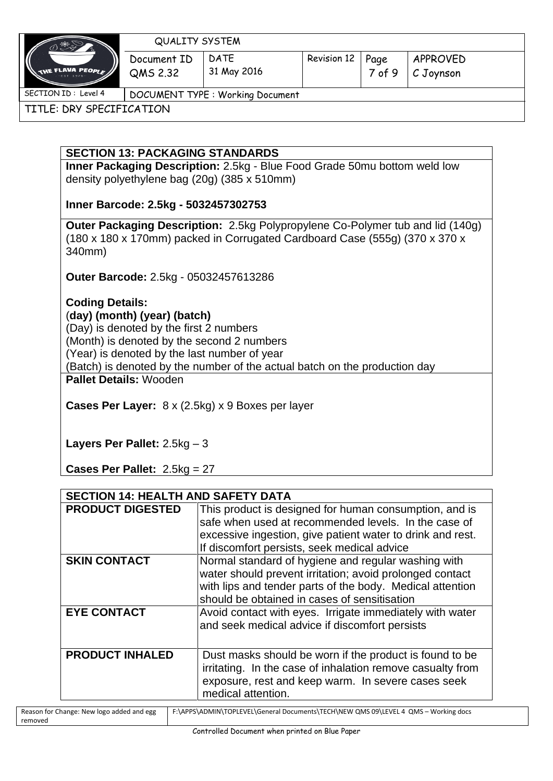

QUALITY SYSTEM

Document ID QMS 2.32 DATE 31 May 2016

TITLE: DRY SPECIFICATION

## **SECTION 13: PACKAGING STANDARDS**

**Inner Packaging Description:** 2.5kg - Blue Food Grade 50mu bottom weld low density polyethylene bag (20g) (385 x 510mm)

# **Inner Barcode: 2.5kg - 5032457302753**

**Outer Packaging Description:** 2.5kg Polypropylene Co-Polymer tub and lid (140g) (180 x 180 x 170mm) packed in Corrugated Cardboard Case (555g) (370 x 370 x 340mm)

**Outer Barcode:** 2.5kg - 05032457613286

**Coding Details:**  (**day) (month) (year) (batch)** (Day) is denoted by the first 2 numbers (Month) is denoted by the second 2 numbers (Year) is denoted by the last number of year (Batch) is denoted by the number of the actual batch on the production day **Pallet Details:** Wooden

**Cases Per Layer:** 8 x (2.5kg) x 9 Boxes per layer

**Layers Per Pallet:** 2.5kg – 3

**Cases Per Pallet:** 2.5kg = 27

| <b>SECTION 14: HEALTH AND SAFETY DATA</b> |                                                                                                                                                                                                                              |  |  |
|-------------------------------------------|------------------------------------------------------------------------------------------------------------------------------------------------------------------------------------------------------------------------------|--|--|
| <b>PRODUCT DIGESTED</b>                   | This product is designed for human consumption, and is<br>safe when used at recommended levels. In the case of<br>excessive ingestion, give patient water to drink and rest.<br>If discomfort persists, seek medical advice  |  |  |
| <b>SKIN CONTACT</b>                       | Normal standard of hygiene and regular washing with<br>water should prevent irritation; avoid prolonged contact<br>with lips and tender parts of the body. Medical attention<br>should be obtained in cases of sensitisation |  |  |
| <b>EYE CONTACT</b>                        | Avoid contact with eyes. Irrigate immediately with water<br>and seek medical advice if discomfort persists                                                                                                                   |  |  |
| <b>PRODUCT INHALED</b>                    | Dust masks should be worn if the product is found to be<br>irritating. In the case of inhalation remove casualty from<br>exposure, rest and keep warm. In severe cases seek<br>medical attention.                            |  |  |

| Reason for Change: New logo added and egg | F:\APPS\ADMIN\TOPLEVEL\General Documents\TECH\NEW QMS 09\LEVEL 4 QMS - Working docs |
|-------------------------------------------|-------------------------------------------------------------------------------------|
| removed                                   |                                                                                     |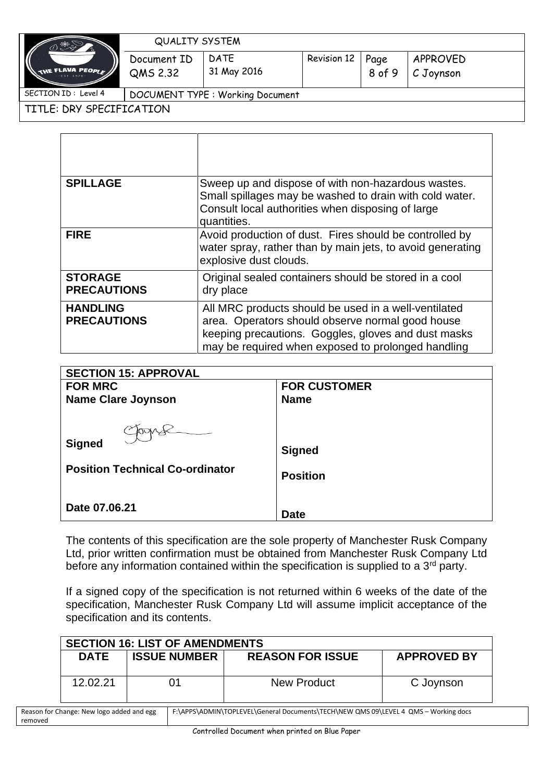

removed

#### QUALITY SYSTEM

Document ID QMS 2.32 DATE 31 May 2016

| Revision 12   Page |      |
|--------------------|------|
|                    | 8 of |

**9** C Joynson

TITLE: DRY SPECIFICATION

| <b>SPILLAGE</b>                       | Sweep up and dispose of with non-hazardous wastes.<br>Small spillages may be washed to drain with cold water.<br>Consult local authorities when disposing of large<br>quantities.                                     |
|---------------------------------------|-----------------------------------------------------------------------------------------------------------------------------------------------------------------------------------------------------------------------|
| <b>FIRE</b>                           | Avoid production of dust. Fires should be controlled by<br>water spray, rather than by main jets, to avoid generating<br>explosive dust clouds.                                                                       |
| <b>STORAGE</b><br><b>PRECAUTIONS</b>  | Original sealed containers should be stored in a cool<br>dry place                                                                                                                                                    |
| <b>HANDLING</b><br><b>PRECAUTIONS</b> | All MRC products should be used in a well-ventilated<br>area. Operators should observe normal good house<br>keeping precautions. Goggles, gloves and dust masks<br>may be required when exposed to prolonged handling |

| <b>SECTION 15: APPROVAL</b>                                       |                                  |  |  |  |  |
|-------------------------------------------------------------------|----------------------------------|--|--|--|--|
| <b>FOR MRC</b>                                                    | <b>FOR CUSTOMER</b>              |  |  |  |  |
| <b>Name Clare Joynson</b>                                         | <b>Name</b>                      |  |  |  |  |
| Google<br><b>Signed</b><br><b>Position Technical Co-ordinator</b> | <b>Signed</b><br><b>Position</b> |  |  |  |  |
| Date 07,06,21                                                     | <b>Date</b>                      |  |  |  |  |

The contents of this specification are the sole property of Manchester Rusk Company Ltd, prior written confirmation must be obtained from Manchester Rusk Company Ltd before any information contained within the specification is supplied to a 3<sup>rd</sup> party.

If a signed copy of the specification is not returned within 6 weeks of the date of the specification, Manchester Rusk Company Ltd will assume implicit acceptance of the specification and its contents.

| <b>SECTION 16: LIST OF AMENDMENTS</b>                                                                                            |                     |    |                         |                    |  |
|----------------------------------------------------------------------------------------------------------------------------------|---------------------|----|-------------------------|--------------------|--|
| <b>DATE</b>                                                                                                                      | <b>ISSUE NUMBER</b> |    | <b>REASON FOR ISSUE</b> | <b>APPROVED BY</b> |  |
| 12.02.21                                                                                                                         |                     | 01 | <b>New Product</b>      | C Joynson          |  |
| F:\APPS\ADMIN\TOPLEVEL\General Documents\TECH\NEW QMS 09\LEVEL 4 QMS - Working docs<br>Reason for Change: New logo added and egg |                     |    |                         |                    |  |